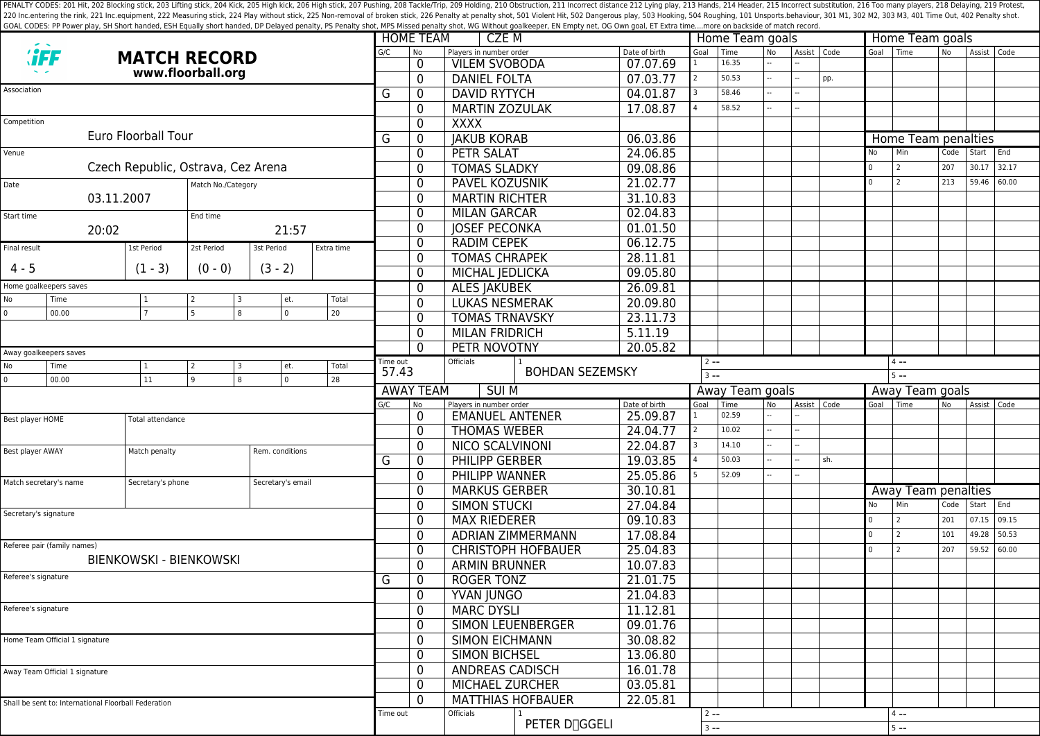PENALTY CODES: 201 Hit, 202 Blocking stick, 203 Lifting stick, 204 Kick, 204 Kick, 205 High kick, 204 Kick, 205 High kick, 206 High stick, 206 High stick, 206 High stick, 206 High stick, 207 Pushing, 208 Tackle/Trip, 209 H 220 Inc.entering the rink, 221 Inc.equipment, 222 Measuring stick, 224 Play without stick, 225 Non-removal of broken stick, 225 Ponalty shot, 501 Violent Hit, 502 Dangerous play, 503 Hooking, 504 Roughing, 101 Unsports.beh GOAL CODES: PP Power play, SH Short handed, ESH Equally short handed, DP Delayed penalty, PS Penalty shot, MPS Missed penalty shot, WG Without goalkeeper, EN Empty net, OG Own goal, ET Extra time....more on backside of mat

|                                                      |                        |                     |            |                     |            |        | <b>HOME TEAM</b>    |                       | CZE M                                           |                           |                |                           |                      | Home Team goals |           |               |         |          | Home Team goals     |                |             |       |  |  |  |
|------------------------------------------------------|------------------------|---------------------|------------|---------------------|------------|--------|---------------------|-----------------------|-------------------------------------------------|---------------------------|----------------|---------------------------|----------------------|-----------------|-----------|---------------|---------|----------|---------------------|----------------|-------------|-------|--|--|--|
|                                                      |                        | <b>MATCH RECORD</b> |            |                     |            |        |                     | <b>No</b>             | Players in number order<br><b>VILEM SVOBODA</b> |                           |                | Date of birth<br>07.07.69 | Goal<br>$\mathbf{1}$ | Time<br>16.35   | <b>No</b> | Assist   Code |         |          | Goal Time           | N <sub>o</sub> | Assist Code |       |  |  |  |
| www.floorball.org                                    |                        |                     |            |                     |            | 0<br>0 | <b>DANIEL FOLTA</b> |                       |                                                 | 07.03.77                  | $\overline{2}$ | 50.53                     |                      |                 | pp.       |               |         |          |                     |                |             |       |  |  |  |
| Association                                          |                        |                     |            |                     |            | G      |                     | 0                     | <b>DAVID RYTYCH</b>                             |                           |                | 04.01.87                  | 3                    | 58.46           |           |               |         |          |                     |                |             |       |  |  |  |
|                                                      |                        |                     |            |                     |            |        |                     | 0                     | <b>MARTIN ZOZULAK</b>                           |                           |                | 17.08.87                  |                      | 58.52           |           |               |         |          |                     |                |             |       |  |  |  |
| Competition                                          |                        |                     |            |                     |            |        |                     | 0                     | <b>XXXX</b>                                     |                           |                |                           |                      |                 |           |               |         |          |                     |                |             |       |  |  |  |
|                                                      |                        | Euro Floorball Tour |            |                     |            | G      |                     | 0                     | <b>JAKUB KORAB</b>                              |                           |                | 06.03.86                  |                      |                 |           |               |         |          | Home Team penalties |                |             |       |  |  |  |
|                                                      |                        |                     |            |                     |            |        |                     | 0                     | <b>PETR SALAT</b>                               |                           |                | 24.06.85                  |                      |                 |           |               |         | No       | Min                 | Code           | Start       | End   |  |  |  |
| Venue<br>Czech Republic, Ostrava, Cez Arena          |                        |                     |            |                     |            |        |                     | 0                     | <b>TOMAS SLADKY</b>                             |                           |                | 09.08.86                  |                      |                 |           |               |         |          | 2                   | 207            | 30.17       | 32.17 |  |  |  |
|                                                      |                        |                     |            |                     |            |        |                     | 0                     | <b>PAVEL KOZUSNIK</b>                           |                           |                | 21.02.77                  |                      |                 |           |               |         | $\Omega$ | 2                   | 213            | 59.46       | 60.00 |  |  |  |
| Date<br>Match No./Category<br>03.11.2007             |                        |                     |            |                     |            |        |                     | 0                     | <b>MARTIN RICHTER</b>                           |                           |                | 31.10.83                  |                      |                 |           |               |         |          |                     |                |             |       |  |  |  |
|                                                      |                        |                     |            |                     |            |        |                     | 0                     | <b>MILAN GARCAR</b>                             |                           |                | 02.04.83                  |                      |                 |           |               |         |          |                     |                |             |       |  |  |  |
| Start time                                           |                        |                     | End time   |                     |            |        |                     | 0                     | <b>JOSEF PECONKA</b>                            |                           |                | 01.01.50                  |                      |                 |           |               |         |          |                     |                |             |       |  |  |  |
| 20:02<br>21:57                                       |                        |                     |            |                     |            | 0      | <b>RADIM CEPEK</b>  |                       |                                                 | 06.12.75                  |                |                           |                      |                 |           |               |         |          |                     |                |             |       |  |  |  |
| Final result                                         |                        | 1st Period          | 2st Period | 3st Period          | Extra time |        |                     | 0                     | <b>TOMAS CHRAPEK</b>                            |                           |                | 28.11.81                  |                      |                 |           |               |         |          |                     |                |             |       |  |  |  |
| $4 - 5$                                              |                        | $(1 - 3)$           | $(0 - 0)$  | $(3 - 2)$           |            |        |                     | 0                     | MICHAL JEDLICKA                                 |                           |                | 09.05.80                  |                      |                 |           |               |         |          |                     |                |             |       |  |  |  |
|                                                      | Home goalkeepers saves |                     |            |                     |            |        |                     | 0                     | <b>ALES JAKUBEK</b>                             |                           |                | 26.09.81                  |                      |                 |           |               |         |          |                     |                |             |       |  |  |  |
| No                                                   | Time<br>  1            |                     |            | Total<br>et.        |            |        |                     | 0                     | <b>LUKAS NESMERAK</b>                           |                           |                | 20.09.80                  |                      |                 |           |               |         |          |                     |                |             |       |  |  |  |
| $\mathbf{0}$                                         | 00.00                  | 7                   | 5          | $\overline{0}$<br>8 | 20         |        |                     |                       | <b>TOMAS TRNAVSKY</b>                           |                           |                | 23.11.73                  |                      |                 |           |               |         |          |                     |                |             |       |  |  |  |
|                                                      |                        |                     |            |                     |            |        | 0<br>$\mathbf{0}$   | <b>MILAN FRIDRICH</b> |                                                 |                           | 5.11.19        |                           |                      |                 |           |               |         |          |                     |                |             |       |  |  |  |
|                                                      |                        |                     |            |                     |            |        |                     | 0                     | PETR NOVOTNY                                    |                           |                | 20.05.82                  |                      |                 |           |               |         |          |                     |                |             |       |  |  |  |
|                                                      | Away goalkeepers saves |                     |            |                     | Time out   |        | Officials           |                       |                                                 |                           | $2 - -$        |                           |                      |                 |           |               | $4 - -$ |          |                     |                |             |       |  |  |  |
| No                                                   | Time                   | $\vert$ 1           | 2<br>3     | et.                 | Total      |        | 57.43               |                       |                                                 | <b>BOHDAN SEZEMSKY</b>    |                | $3 - -$                   |                      |                 |           |               | $5 - -$ |          |                     |                |             |       |  |  |  |
| $\Omega$                                             | 00.00                  | 11                  | 9          | $\overline{0}$<br>8 | 28         |        | <b>AWAY TEAM</b>    |                       |                                                 | <b>SUIM</b>               |                |                           | Away Team goals      |                 |           |               |         |          | Away Team goals     |                |             |       |  |  |  |
|                                                      |                        |                     |            |                     |            | G/C    | <b>No</b>           |                       | Players in number order                         |                           |                | Date of birth             | Goal                 | Time            | No        | Assist   Code |         | Goal     | l Time              | No.            | Assist Code |       |  |  |  |
| Best player HOME                                     |                        | Total attendance    |            |                     |            |        |                     | $\mathbf{0}$          | <b>EMANUEL ANTENER</b>                          |                           |                | 25.09.87                  |                      | 02.59           |           |               |         |          |                     |                |             |       |  |  |  |
|                                                      |                        |                     |            |                     |            |        |                     | $\mathbf{0}$          | <b>THOMAS WEBER</b>                             |                           |                | 24.04.77                  | $\overline{2}$       | 10.02           |           |               |         |          |                     |                |             |       |  |  |  |
| Best player AWAY                                     |                        | Match penalty       |            | Rem. conditions     |            |        |                     | $\mathbf{0}$          | <b>NICO SCALVINONI</b>                          |                           |                | 22.04.87                  |                      | 14.10           |           |               |         |          |                     |                |             |       |  |  |  |
|                                                      |                        |                     |            |                     |            | G      |                     | 0                     | <b>PHILIPP GERBER</b>                           |                           |                | 19.03.85                  |                      | 50.03           |           |               | sh.     |          |                     |                |             |       |  |  |  |
|                                                      |                        |                     |            |                     |            |        |                     | 0                     | PHILIPP WANNER                                  |                           |                | 25.05.86                  |                      | 52.09           |           |               |         |          |                     |                |             |       |  |  |  |
| Match secretary's name                               |                        | Secretary's phone   |            | Secretary's email   |            |        |                     | 0                     | <b>MARKUS GERBER</b>                            |                           |                | 30.10.81                  |                      |                 |           |               |         |          | Away Team penalties |                |             |       |  |  |  |
|                                                      |                        |                     |            |                     |            |        |                     | 0                     | <b>SIMON STUCKI</b>                             |                           |                | 27.04.84                  |                      |                 |           |               |         | No       | Min                 | Code           | Start End   |       |  |  |  |
| Secretary's signature                                |                        |                     |            |                     |            |        |                     | 0                     | <b>MAX RIEDERER</b>                             |                           |                | 09.10.83                  |                      |                 |           |               |         | l o      | $\overline{2}$      | 201            | 07.15       | 09.15 |  |  |  |
|                                                      |                        |                     |            |                     |            |        |                     | 0                     |                                                 | <b>ADRIAN ZIMMERMANN</b>  |                | 17.08.84                  |                      |                 |           |               |         | $\Omega$ | $\overline{2}$      | 101            | 49.28       | 50.53 |  |  |  |
| Referee pair (family names)                          |                        |                     |            |                     |            |        |                     | 0                     |                                                 | <b>CHRISTOPH HOFBAUER</b> |                | 25.04.83                  |                      |                 |           |               |         | $\Omega$ | $\overline{2}$      | 207            | 59.52       | 60.00 |  |  |  |
| <b>BIENKOWSKI - BIENKOWSKI</b>                       |                        |                     |            |                     |            |        |                     | 0                     | <b>ARMIN BRUNNER</b>                            |                           |                | 10.07.83                  |                      |                 |           |               |         |          |                     |                |             |       |  |  |  |
| Referee's signature                                  |                        |                     |            |                     |            | G      |                     | 0                     | <b>ROGER TONZ</b>                               |                           |                | 21.01.75                  |                      |                 |           |               |         |          |                     |                |             |       |  |  |  |
|                                                      |                        |                     |            |                     |            |        |                     | 0                     | <b>YVAN JUNGO</b>                               |                           |                | 21.04.83                  |                      |                 |           |               |         |          |                     |                |             |       |  |  |  |
| Referee's signature                                  |                        |                     |            |                     |            |        |                     | 0                     | <b>MARC DYSLI</b>                               |                           |                | 11.12.81                  |                      |                 |           |               |         |          |                     |                |             |       |  |  |  |
|                                                      |                        |                     |            |                     |            |        |                     | 0                     |                                                 | SIMON LEUENBERGER         |                | 09.01.76                  |                      |                 |           |               |         |          |                     |                |             |       |  |  |  |
| Home Team Official 1 signature                       |                        |                     |            |                     |            |        |                     | 0                     | <b>SIMON EICHMANN</b>                           |                           |                | 30.08.82                  |                      |                 |           |               |         |          |                     |                |             |       |  |  |  |
|                                                      |                        |                     |            |                     |            |        |                     | 0                     | <b>SIMON BICHSEL</b>                            |                           |                | 13.06.80                  |                      |                 |           |               |         |          |                     |                |             |       |  |  |  |
| Away Team Official 1 signature                       |                        |                     |            |                     |            |        |                     | 0                     | <b>ANDREAS CADISCH</b>                          |                           |                | 16.01.78                  |                      |                 |           |               |         |          |                     |                |             |       |  |  |  |
|                                                      |                        |                     |            |                     |            |        |                     | $\mathbf{0}$          | MICHAEL ZURCHER                                 |                           |                | 03.05.81                  |                      |                 |           |               |         |          |                     |                |             |       |  |  |  |
| Shall be sent to: International Floorball Federation |                        |                     |            |                     |            |        |                     | $\Omega$              |                                                 | <b>MATTHIAS HOFBAUER</b>  |                | 22.05.81                  |                      |                 |           |               |         |          |                     |                |             |       |  |  |  |
|                                                      |                        |                     |            |                     |            |        |                     |                       | Officials                                       |                           |                |                           | $2 - -$              |                 |           |               |         |          | $4 - -$             |                |             |       |  |  |  |
|                                                      |                        |                     |            |                     |            |        |                     |                       | PETER D <sub>OGGELI</sub>                       |                           |                | $3 - -$                   |                      |                 |           |               |         | $5 - -$  |                     |                |             |       |  |  |  |